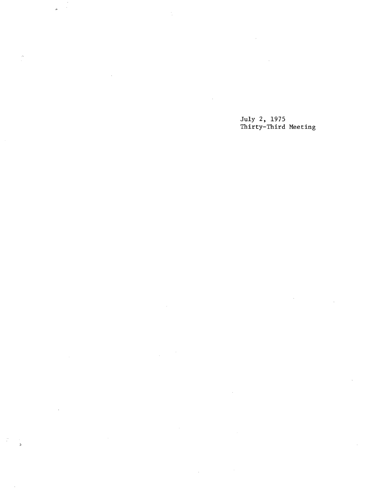July 2, 1975 Thirty-Third Meeting

 $\mathcal{A}^{\mathcal{A}}$ 

 $\sim$   $\sim$ 

 $\bar{z}$ 

 $\mathcal{L}$ 

 $\mathcal{L}_{\text{max}}$ 

 $\sim$  $\overline{\phantom{a}}$ 

 $\bar{\mathcal{A}}$ 

Ń

 $\frac{1}{3}$ 

्

 $\frac{1}{\sqrt{2}}$ 

 $\bar{L}$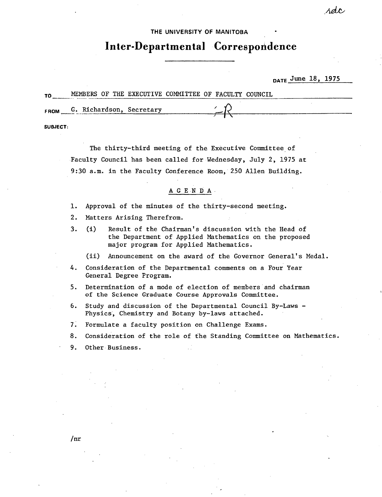#### THE UNIVERSITY OF MANITOBA

# **Inter-Departmental Correspoidence**

|  | DATE June 18, 1975 |
|--|--------------------|
|  |                    |

rdc

| т٥          |  | MEMBERS OF THE EXECUTIVE COMMITTEE OF FACULTY COUNCIL |  |  |  |
|-------------|--|-------------------------------------------------------|--|--|--|
| <b>FROM</b> |  | G. Richardson, Secretary                              |  |  |  |

**SUBJECT:** 

The thirty-third meeting of the Executive Committee of Faculty Council has been called for Wednesday, July 2, 1975 at 9:30 a.m. in the Faculty Conference Room, 250 Allen Building.

#### A G E N D A  $\cdot$

 $1.$ Approval of the minutes of the thirty-second meeting.

- $2.$ Matters Arising Therefrom.
- $3.$ (i) Result of the Chairman's discussion with the Head of the Department of Applied Mathematics on the proposed major program for Applied Mathematics.
	- (ii) Announcement on the award of the Governor General's Medal.
- 4. Consideration of the Departmental comments on a Four Year General Degree Program.
- Determination of a mode of election of members and chairman  $5.$ of the Science Graduate Course Approvals Committee.
- 6. Study and discussion of the Departmental Council By-Laws - Physics, Chemistry and Botany by-laws attached.
- $7.$ Formulate a faculty position on Challenge Exams.
- 8. Consideration of the role of the Standing Committee on Mathematics.
- $9.$ Other Business.

 $/nr$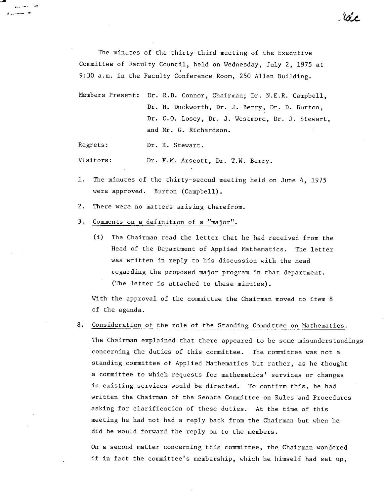The minutes of the thirty-third meeting of the Executive Committee of Faculty Council, held on Wednesday, July 2, 1975 at 9:30 a.m. in the Faculty Conference Room, 250 Allen Building.

<u>Ure</u>

Members Present: Dr. R.D. Connor, Chairman; Dr. N.E.R. Campbell, Dr. H. Duckworth, Dr. J. Berry, Dr. D. Burton, Dr. G.O. Losey, Dr. J. Westmore, Dr. J. Stewart, and Mr. G. Richardson.

Regrets: Dr. K. Stewart.

Visitors: Dr. F.M. Arscott, Dr. T.W. Berry.

- 1. The minutes of the thirty-second meeting held on June 4, 1975 were approved. Burton (Campbell).
- $2.$ There were no matters arising therefrom.
- $3.$ Comments on a definition of a "major".
	- (i) The Chairman read the letter that he had received from the Head of the Department of Applied Mathematics. The letter was written in reply to his discussion with the Head regarding the proposed major program in that department. (The letter is attached to these minutes).

With the approval of the committee the Chairman moved to item 8 of the agenda.

8. Consideration of the role of the Standing Committee on Mathematics.

The Chairman explained that there appeared to be some misunderstandings concerning the duties of this committee. The committee was not a standing committee of Applied Mathematics but rather, as he thought a committee to which requests for mathematics' services or changes in existing services would be directed. To confirm this, he had written the Chairman of the Senate Committee on Rules and Procedures asking for clarification of these duties. At the time of this meeting he had not had a reply back from the Chairman but when he did he would forward the reply on to the members.

On a second matter concerning this committee, the Chairman wondered if in fact the committee's membership, which he himself had set up,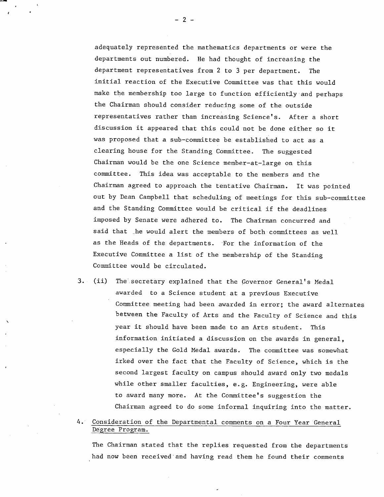adequately represented the mathematics departments or were the departments out numbered. He had thought of increasing the department representatives from 2 to 3 per department. The initial reaction of the Executive Committee was that this would make the membership too large to function efficiently and perhaps the Chairman should consider reducing some of the outside representatives rather than increasing Science's. After a short discussion it appeared that this could not be done either so it was proposed that a sub-committee be established to act as a clearing house for the Standing Committee. The suggested Chairman would be the one Science member-at-large on this committee. This idea was acceptable to the members and the Chairman agreed to approach the tentative Chairman. It was pointed out by Dean Campbell that scheduling of meetings for this sub-committee and the Standing Committee would be critical if the deadlines imposed by Senate were adhered to. The Chairman concurred and said that he would alert the members of both committees as well as the Heads of the departments. For the information of the Executive Committee a list of the membership of the Standing Committee would be circulated.

(ii) The secretary explained that the Governor General's Medal awarded to a Science student at a previous Executive Committee meeting had been awarded in error; the award alternates between the Faculty of Arts and the Faculty of Science and this year it should have been made to an Arts student. This information initiated a discussion on the awards in general, especially the Gold Medal awards. The committee was somewhat irked over the fact that the Faculty of Science, which is the second largest faculty on campus should award only two medals while other smaller faculties, e.g. Engineering, were able to award many more. At the Committee's suggestion the Chairman agreed to do some informal inquiring into the matter.

#### Consideration of the Departmental comments on a Four Year General Degree Program.

The Chairman stated that the replies requested from the departments had now been received and having read them he found their comments

-2-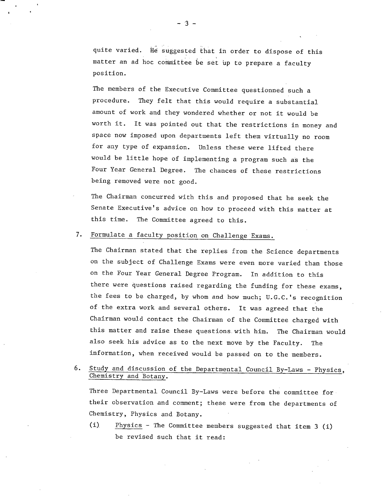quite varied. He suggested that in order to dispose of this matter an ad hoc committee be set up to prepare a faculty position.

The members of the Executive Committee questionned such a procedure. They felt that this would require a substantial amount of work and they wondered whether or not it would be worth it. It was pointed out that the restrictions in money and space now imposed upon departments left them virtually no room for any type of expansion. Unless these were lifted there would be little hope of implementing a program such as the Four Year General Degree. The chances of these restrictions being removed were not good.

The Chairman concurred with this and proposed that he seek the Senate Executive's advice on how to proceed with this matter at this time. The Committee agreed to this.

## 7. Formulate a faculty position on Challenge Exams.

The Chairman stated that the replies from the Science departments on the subject of Challenge Exams were even more varied than those on the Four Year General Degree Program. In addition to this there were questions raised regarding the funding for these exams, the fees to be charged, by whom and how much; U.G.C.'s recognition of the extra work and several others. It was agreed that the Chairman would contact the Chairman of the Committee charged with this matter and raise these questions with him. The Chairman would also seek his advice as to the next move by the Faculty. The information, when received would be passed on to the members.

### 6. Study and discussion of the Departmental Council By-Laws - Physics, Chemistry and Botany.

Three Departmental Council By-Laws were before the committee for their observation and comment; these were from the departments of Chemistry, Physics and Botany.

(i). Physics - The Committee members suggested that item 3 (i) be revised such that it read:

-3-